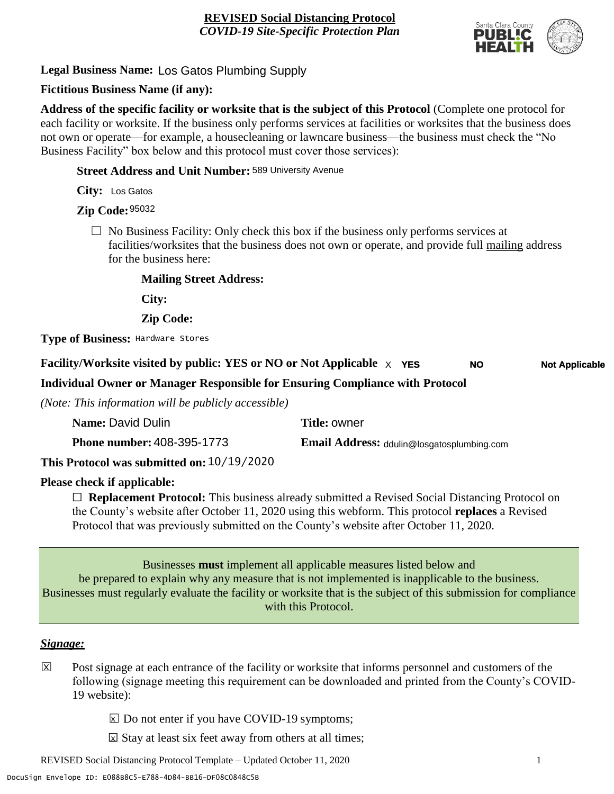

**Legal Business Name:** Los Gatos Plumbing Supply

# **Fictitious Business Name (if any):**

**Address of the specific facility or worksite that is the subject of this Protocol** (Complete one protocol for each facility or worksite. If the business only performs services at facilities or worksites that the business does not own or operate—for example, a housecleaning or lawncare business—the business must check the "No Business Facility" box below and this protocol must cover those services):

**Street Address and Unit Number:** 589 University Avenue

**City:** Los Gatos

**Zip Code:** 95032

 $\Box$  No Business Facility: Only check this box if the business only performs services at facilities/worksites that the business does not own or operate, and provide full mailing address for the business here:

**Mailing Street Address:**

**City:**

**Zip Code:**

**Type of Business:** Hardware Stores

#### **Facility/Worksite visited by public: YES or NO or Not Applicable** X **YES NO Not Applicable**

**Individual Owner or Manager Responsible for Ensuring Compliance with Protocol**

*(Note: This information will be publicly accessible)*

| Name: David Dulin                              | <b>Title: owner</b>                               |
|------------------------------------------------|---------------------------------------------------|
| <b>Phone number: 408-395-1773</b>              | <b>Email Address:</b> ddulin@losgatosplumbing.com |
| 1011010000<br>$\sim$ $\sim$ $\sim$ $\sim$<br>. |                                                   |

**This Protocol was submitted on:** 10/19/2020

# **Please check if applicable:**

☐ **Replacement Protocol:** This business already submitted a Revised Social Distancing Protocol on the County's website after October 11, 2020 using this webform. This protocol **replaces** a Revised Protocol that was previously submitted on the County's website after October 11, 2020.

Businesses **must** implement all applicable measures listed below and be prepared to explain why any measure that is not implemented is inapplicable to the business. Businesses must regularly evaluate the facility or worksite that is the subject of this submission for compliance with this Protocol.

### *Signage:*

- Post signage at each entrance of the facility or worksite that informs personnel and customers of the following (signage meeting this requirement can be downloaded and printed from the County's COVID-19 website):  $|\overline{x}|$ 
	- $\boxed{\times}$  Do not enter if you have COVID-19 symptoms;
	- $\boxtimes$  Stay at least six feet away from others at all times;

REVISED Social Distancing Protocol Template – Updated October 11, 2020 1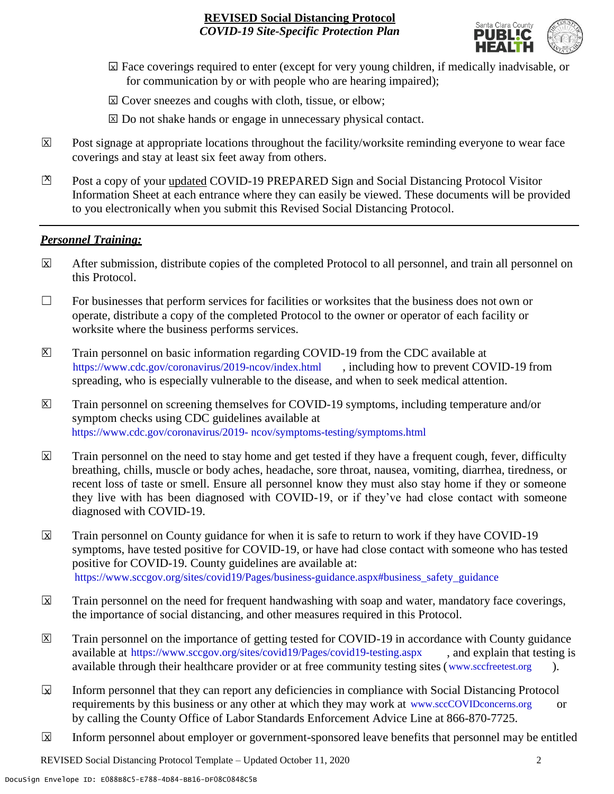

- ☐ Face coverings required to enter (except for very young children, if medically inadvisable, or X for communication by or with people who are hearing impaired);
- ⊠ Cover sneezes and coughs with cloth, tissue, or elbow;
- ⊠ Do not shake hands or engage in unnecessary physical contact.
- Post signage at appropriate locations throughout the facility/worksite reminding everyone to wear face coverings and stay at least six feet away from others. X
- Post a copy of your updated COVID-19 PREPARED Sign and Social Distancing Protocol Visitor Information Sheet at each entrance where they can easily be viewed. These documents will be provided to you electronically when you submit this Revised Social Distancing Protocol.  $\mathbb{Z}$

#### *Personnel Training:*

- After submission, distribute copies of the completed Protocol to all personnel, and train all personnel on this Protocol.  $\mathbf x$
- $\Box$  For businesses that perform services for facilities or worksites that the business does not own or operate, distribute a copy of the completed Protocol to the owner or operator of each facility or worksite where the business performs services.
- Train personnel on basic information regarding COVID-19 from the CDC available at [https://www.cdc.gov/coronavirus/2019-ncov/index.html,](https://www.cdc.gov/coronavirus/2019-ncov/index.html) including how to prevent COVID-19 from spreading, who is especially vulnerable to the disease, and when to seek medical attention.  $\mathsf{X}$
- Train personnel on screening themselves for COVID-19 symptoms, including temperature and/or symptom checks using CDC guidelines available at [https://www.cdc.gov/coronavirus/2019-](https://www.cdc.gov/coronavirus/2019-ncov/symptoms-testing/symptoms.html) [ncov/symptoms-testing/symptoms.html.](https://www.cdc.gov/coronavirus/2019-ncov/symptoms-testing/symptoms.html) https://www.cdc.gov/coronavirus/2019- ncov/symptoms-testing/symptoms.html  $|\mathsf{X}|$
- Train personnel on the need to stay home and get tested if they have a frequent cough, fever, difficulty breathing, chills, muscle or body aches, headache, sore throat, nausea, vomiting, diarrhea, tiredness, or recent loss of taste or smell. Ensure all personnel know they must also stay home if they or someone they live with has been diagnosed with COVID-19, or if they've had close contact with someone diagnosed with COVID-19.  $\overline{\mathsf{x}}$
- Train personnel on County guidance for when it is safe to return to work if they have COVID-19 symptoms, have tested positive for COVID-19, or have had close contact with someone who has tested positive for COVID-19. County guidelines are available at: [https://www.sccgov.org/sites/covid19/Pages/business-guidance.aspx#business\\_safety\\_guidance.](https://www.sccgov.org/sites/covid19/Pages/business-guidance.aspx#business_safety_guidance.) https://www.sccgov.org/sites/covid19/Pages/business-guidance.aspx#business\_safety\_guidance  $\overline{\mathbf{x}}$
- Train personnel on the need for frequent handwashing with soap and water, mandatory face coverings, the importance of social distancing, and other measures required in this Protocol.  $\overline{\mathsf{x}}$
- Train personnel on the importance of getting tested for COVID-19 in accordance with County guidance available at [https://www.sccgov.org/sites/covid19/Pages/covid19-testing.aspx,](https://www.sccgov.org/sites/covid19/Pages/covid19-testing.aspx) and explain that testing is available through their healthcare provider or at free community testing sites [\(www.sccfreetest.org](http://www.sccfreetest.org/) ).  $\vert X \vert$
- Inform personnel that they can report any deficiencies in compliance with Social Distancing Protocol requirements by this business or any other at which they may work at [www.sccCOVIDconcerns.org](http://www.scccovidconcerns.org/) or by calling the County Office of Labor Standards Enforcement Advice Line at 866-870-7725.  $\overline{\mathbf{x}}$
- Inform personnel about employer or government-sponsored leave benefits that personnel may be entitled  $\boxtimes$

REVISED Social Distancing Protocol Template – Updated October 11, 2020 2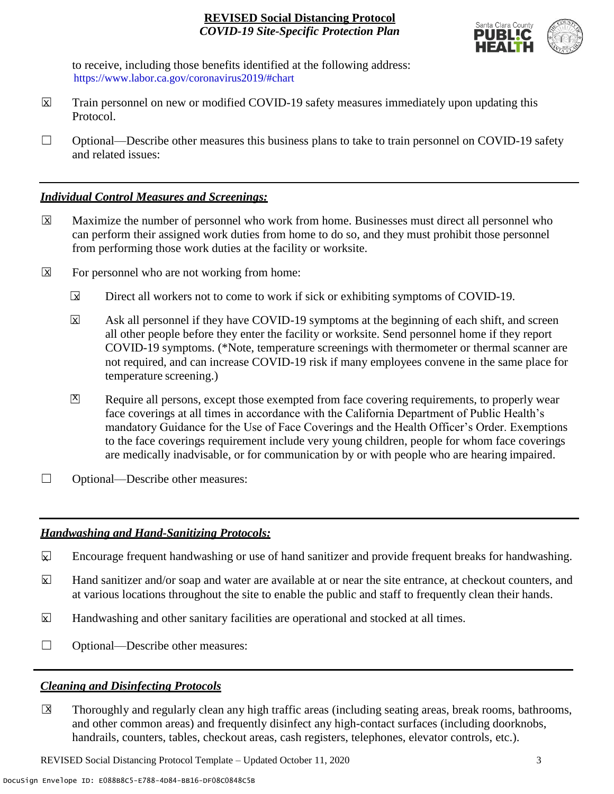

to receive, including those benefits identified at the following address: [https://www.labor.ca.gov/coronavirus2019/#chart.](https://www.labor.ca.gov/coronavirus2019/#chart) https://www.labor.ca.gov/coronavirus2019/#chart

- Train personnel on new or modified COVID-19 safety measures immediately upon updating this Protocol.  $\boxtimes$
- $\Box$  Optional—Describe other measures this business plans to take to train personnel on COVID-19 safety and related issues:

### *Individual Control Measures and Screenings:*

- Maximize the number of personnel who work from home. Businesses must direct all personnel who can perform their assigned work duties from home to do so, and they must prohibit those personnel from performing those work duties at the facility or worksite.  $|\overline{X}|$
- For personnel who are not working from home:  $\boxtimes$ 
	- Direct all workers not to come to work if sick or exhibiting symptoms of COVID-19.  $\overline{\mathbf{x}}$
	- Ask all personnel if they have COVID-19 symptoms at the beginning of each shift, and screen all other people before they enter the facility or worksite. Send personnel home if they report COVID-19 symptoms. (\*Note, temperature screenings with thermometer or thermal scanner are not required, and can increase COVID-19 risk if many employees convene in the same place for temperature screening.) X
	- Require all persons, except those exempted from face covering requirements, to properly wear face coverings at all times in accordance with the California Department of Public Health's mandatory Guidance for the Use of Face Coverings and the Health Officer's Order. Exemptions to the face coverings requirement include very young children, people for whom face coverings are medically inadvisable, or for communication by or with people who are hearing impaired.  $\mathbf{X}$
- ☐ Optional—Describe other measures:

# *Handwashing and Hand-Sanitizing Protocols:*

- Encourage frequent handwashing or use of hand sanitizer and provide frequent breaks for handwashing.  $\mathbf{x}$
- Hand sanitizer and/or soap and water are available at or near the site entrance, at checkout counters, and at various locations throughout the site to enable the public and staff to frequently clean their hands.  $\overline{\mathbf{x}}$
- Handwashing and other sanitary facilities are operational and stocked at all times.  $\mathbf{x}$
- ☐ Optional—Describe other measures:

# *Cleaning and Disinfecting Protocols*

☐ Thoroughly and regularly clean any high traffic areas (including seating areas, break rooms, bathrooms, and other common areas) and frequently disinfect any high-contact surfaces (including doorknobs, handrails, counters, tables, checkout areas, cash registers, telephones, elevator controls, etc.).  $\overline{\mathsf{x}}$ 

REVISED Social Distancing Protocol Template – Updated October 11, 2020 3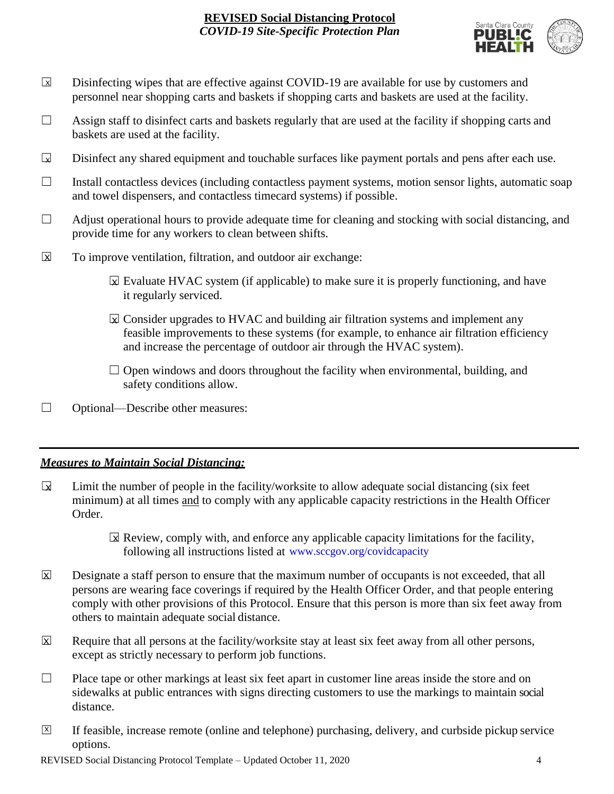

- Disinfecting wipes that are effective against COVID-19 are available for use by customers and personnel near shopping carts and baskets if shopping carts and baskets are used at the facility.  $\boxed{\mathsf{x}}$
- $\Box$  Assign staff to disinfect carts and baskets regularly that are used at the facility if shopping carts and baskets are used at the facility.
- Disinfect any shared equipment and touchable surfaces like payment portals and pens after each use.  $\Box$
- ☐ Install contactless devices (including contactless payment systems, motion sensor lights, automatic soap and towel dispensers, and contactless timecard systems) if possible.
- $\Box$  Adjust operational hours to provide adequate time for cleaning and stocking with social distancing, and provide time for any workers to clean between shifts.
- To improve ventilation, filtration, and outdoor air exchange:  $\overline{\mathsf{x}}$ 
	- $\boxtimes$  Evaluate HVAC system (if applicable) to make sure it is properly functioning, and have it regularly serviced.
	- $\boxtimes$  Consider upgrades to HVAC and building air filtration systems and implement any feasible improvements to these systems (for example, to enhance air filtration efficiency and increase the percentage of outdoor air through the HVAC system).
	- $\Box$  Open windows and doors throughout the facility when environmental, building, and safety conditions allow.
- ☐ Optional—Describe other measures:

# *Measures to Maintain Social Distancing:*

- Limit the number of people in the facility/worksite to allow adequate social distancing (six feet minimum) at all times and to comply with any applicable capacity restrictions in the Health Officer Order.  $\mathbf{r}$ 
	- $\boxtimes$  Review, comply with, and enforce any applicable capacity limitations for the facility, following all instructions listed at www.sccgov.org/covidcapacity
- Designate a staff person to ensure that the maximum number of occupants is not exceeded, that all persons are wearing face coverings if required by the Health Officer Order, and that people entering comply with other provisions of this Protocol. Ensure that this person is more than six feet away from others to maintain adequate social distance.  $\overline{\mathsf{x}}$
- Require that all persons at the facility/worksite stay at least six feet away from all other persons, except as strictly necessary to perform job functions. X
- $\Box$  Place tape or other markings at least six feet apart in customer line areas inside the store and on sidewalks at public entrances with signs directing customers to use the markings to maintain social distance.
- ☐ If feasible, increase remote (online and telephone) purchasing, delivery, and curbside pickup service options.  $\overline{X}$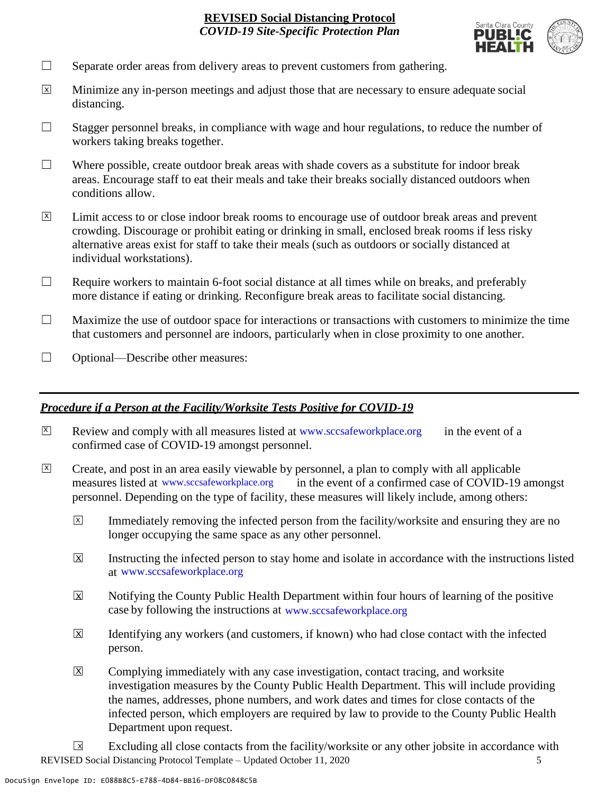

- $\Box$  Separate order areas from delivery areas to prevent customers from gathering.
- Minimize any in-person meetings and adjust those that are necessary to ensure adequate social distancing.  $\overline{x}$
- $\Box$  Stagger personnel breaks, in compliance with wage and hour regulations, to reduce the number of workers taking breaks together.
- $\Box$  Where possible, create outdoor break areas with shade covers as a substitute for indoor break areas. Encourage staff to eat their meals and take their breaks socially distanced outdoors when conditions allow.
- Limit access to or close indoor break rooms to encourage use of outdoor break areas and prevent crowding. Discourage or prohibit eating or drinking in small, enclosed break rooms if less risky alternative areas exist for staff to take their meals (such as outdoors or socially distanced at individual workstations).  $\overline{X}$
- $\Box$  Require workers to maintain 6-foot social distance at all times while on breaks, and preferably more distance if eating or drinking. Reconfigure break areas to facilitate social distancing.
- $\Box$  Maximize the use of outdoor space for interactions or transactions with customers to minimize the time that customers and personnel are indoors, particularly when in close proximity to one another.
- ☐ Optional—Describe other measures:

### *Procedure if a Person at the Facility/Worksite Tests Positive for COVID-19*

- $\boxtimes$  Review and comply with all measures listed at [www.sccsafeworkplace.org](http://www.sccsafeworkplace.org/) in the event of a confirmed case of COVID-19 amongst personnel. X
- ☐ Create, and post in an area easily viewable by personnel, a plan to comply with all applicable in the event of a confirmed case of COVID-19 amongst personnel. Depending on the type of facility, these measures will likely include, among others: measures listed at www.sccsafeworkplace.org  $\overline{X}$ 
	- Immediately removing the infected person from the facility/worksite and ensuring they are no longer occupying the same space as any other personnel.  $\overline{X}$
	- Instructing the infected person to stay home and isolate in accordance with the instructions listed at [www.sccsafeworkplace.org.](file:///C:/Users/raphael.rajendra/AppData/Local/Microsoft/Windows/INetCache/Content.Outlook/PTLHNOTE/www.sccsafeworkplace.org) www.sccsafeworkplace.org X
	- Notifying the County Public Health Department within four hours of learning of the positive case by following the instructions at www.sccsafeworkplace.org  $\overline{X}$
	- Identifying any workers (and customers, if known) who had close contact with the infected person.  $\overline{X}$
	- Complying immediately with any case investigation, contact tracing, and worksite investigation measures by the County Public Health Department. This will include providing the names, addresses, phone numbers, and work dates and times for close contacts of the infected person, which employers are required by law to provide to the County Public Health Department upon request.  $\boxed{\mathsf{X}}$

REVISED Social Distancing Protocol Template – Updated October 11, 2020 5 Excluding all close contacts from the facility/worksite or any other jobsite in accordance with  $\sqrt{X}$